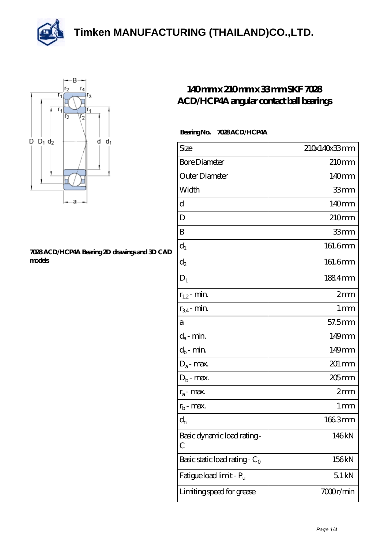



## **[7028 ACD/HCP4A Bearing 2D drawings and 3D CAD](https://m.thereclaimer.net/pic-65136481.html) [models](https://m.thereclaimer.net/pic-65136481.html)**

## **[140 mm x 210 mm x 33 mm SKF 7028](https://m.thereclaimer.net/skf-7028-acd-hcp4a-bearing/) [ACD/HCP4A angular contact ball bearings](https://m.thereclaimer.net/skf-7028-acd-hcp4a-bearing/)**

## **Bearing No. 7028 ACD/HCP4A**

| Size                             | 210x140x33mm      |
|----------------------------------|-------------------|
| <b>Bore Diameter</b>             | 210 <sub>mm</sub> |
| Outer Diameter                   | 140 <sub>mm</sub> |
| Width                            | 33mm              |
| d                                | 140mm             |
| D                                | 210 <sub>mm</sub> |
| B                                | 33mm              |
| $d_1$                            | 161.6mm           |
| $\mathrm{d}_2$                   | 161.6mm           |
| $D_1$                            | 1884mm            |
| $r_{1,2}$ - min.                 | 2mm               |
| $r_{34}$ - min.                  | $1 \,\mathrm{mm}$ |
| а                                | 57.5mm            |
| $d_a$ - min.                     | 149mm             |
| $d_b$ - min.                     | 149mm             |
| $D_a$ - max.                     | 201 mm            |
| $D_b$ - max.                     | $205$ mm          |
| $r_a$ - max.                     | 2mm               |
| $r_{\rm b}$ - max.               | 1 <sub>mm</sub>   |
| $d_{n}$                          | 1663mm            |
| Basic dynamic load rating-<br>С  | 146kN             |
| Basic static load rating - $C_0$ | 156kN             |
| Fatigue load limit - Pu          | 51kN              |
| Limiting speed for grease        | 7000r/min         |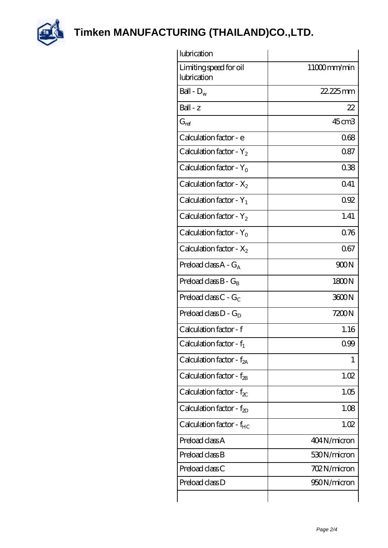

| lubrication                           |             |
|---------------------------------------|-------------|
| Limiting speed for oil<br>lubrication | 11000mm/min |
| Ball - $D_w$                          | 22.225mm    |
| $Ball - z$                            | 22          |
| $G_{ref}$                             | 45cm3       |
| Calculation factor - e                | 068         |
| Calculation factor - $Y_2$            | 0.87        |
| Calculation factor - $Y_0$            | 038         |
| Calculation factor - $X_2$            | 041         |
| Calculation factor - $Y_1$            | 092         |
| Calculation factor - $Y_2$            | 1.41        |
| Calculation factor - $Y_0$            | 0.76        |
| Calculation factor - $X_2$            | 067         |
| Preload class $A - G_A$               | 900N        |
| Preload class $B - G_B$               | 1800N       |
| Preload class $C - G_C$               | 3600N       |
| Preload class $D - G_D$               | 7200N       |
| Calculation factor - f                | 1.16        |
| Calculation factor - $f_1$            | 0.99        |
| Calculation factor - $f_{2A}$         | 1           |
| Calculation factor - $f_{2B}$         | 1.02        |
| Calculation factor - $f_{\chi}$       | 1.05        |
| Calculation factor - $f_{ZD}$         | 1.08        |
| Calculation factor - f <sub>HC</sub>  | 1.02        |
| Preload class A                       | 404N/micron |
| Preload class B                       | 530N/micron |
| Preload class C                       | 702N/micron |
| Preload class D                       | 950N/micron |
|                                       |             |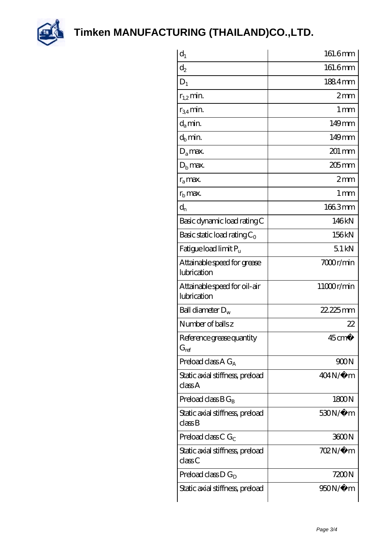

| $d_1$                                       | 161.6mm           |
|---------------------------------------------|-------------------|
| $\mathrm{d}_2$                              | 161.6mm           |
| $D_1$                                       | 1884mm            |
| $r_{1,2}$ min.                              | 2mm               |
| $r_{34}$ min.                               | 1 <sub>mm</sub>   |
| $d_{a}$ min.                                | 149mm             |
| $d_h$ min.                                  | $149$ mm          |
| $D_a$ max.                                  | 201 mm            |
| $Db$ max.                                   | 205mm             |
| $r_a$ max.                                  | 2mm               |
| $r_{\rm b}$ max.                            | 1 mm              |
| $d_{n}$                                     | 1663mm            |
| Basic dynamic load rating C                 | 146kN             |
| Basic static load rating $C_0$              | 156kN             |
| Fatigue load limit P <sub>u</sub>           | 51kN              |
| Attainable speed for grease<br>lubrication  | 7000r/min         |
| Attainable speed for oil-air<br>lubrication | 11000r/min        |
| Ball diameter $D_w$                         | 22.225mm          |
| Number of balls z                           | 22                |
| Reference grease quantity<br>$G_{ref}$      | $45 \text{ cm}^3$ |
| Preload class A $G_A$                       | 900N              |
| Static axial stiffness, preload<br>classA   | $404N/\mu$ m      |
| Preload class $BG_B$                        | 1800N             |
| Static axial stiffness, preload<br>classB   | $530N/\mu$ m      |
| Preload class C $G_C$                       | 3600N             |
| Static axial stiffness, preload<br>classC   | 702N/µ m          |
| Preload class $D G_D$                       | 7200N             |
| Static axial stiffness, preload             | 950N/µ m          |